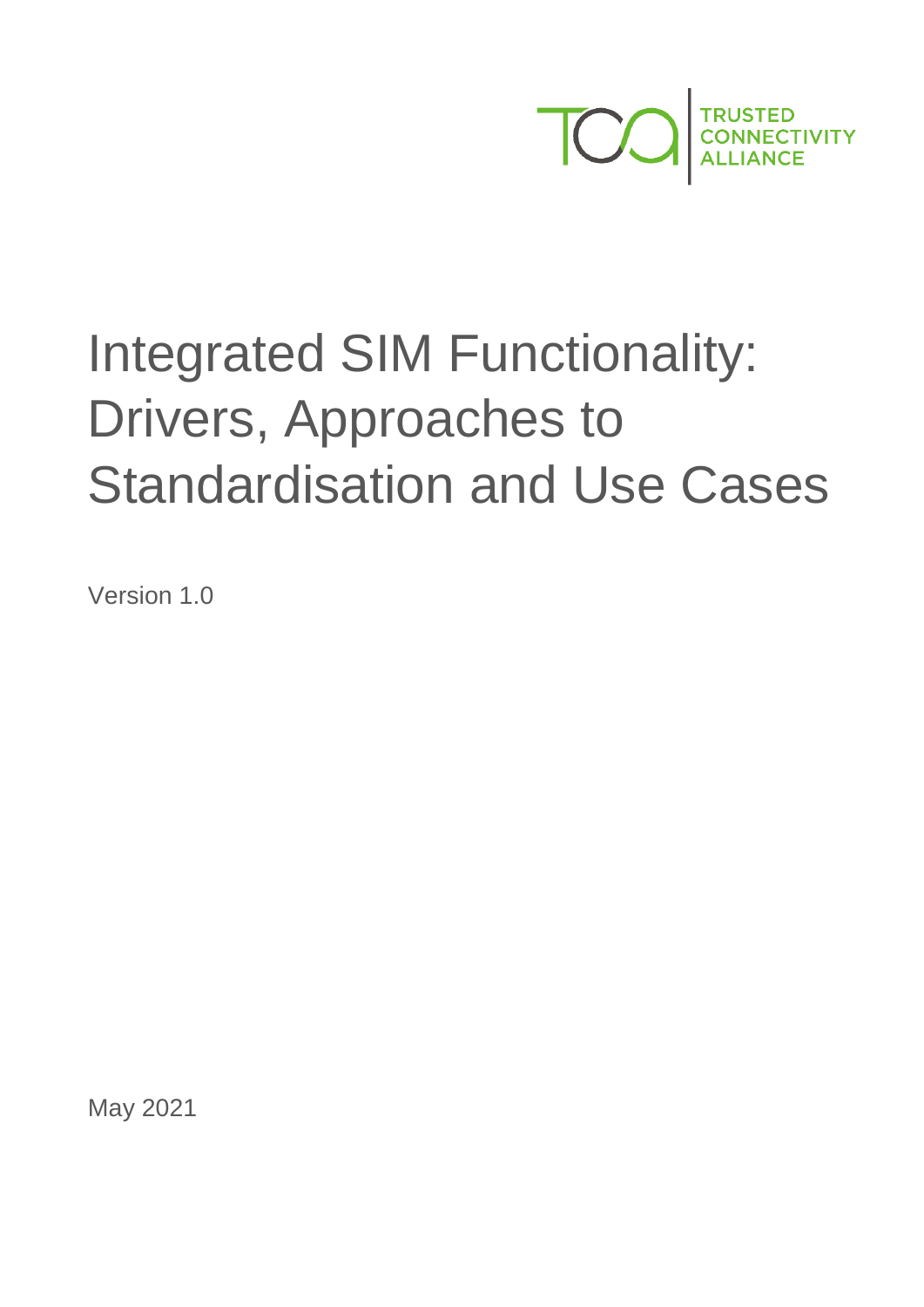

# Integrated SIM Functionality: Drivers, Approaches to Standardisation and Use Cases

Version 1.0

May 2021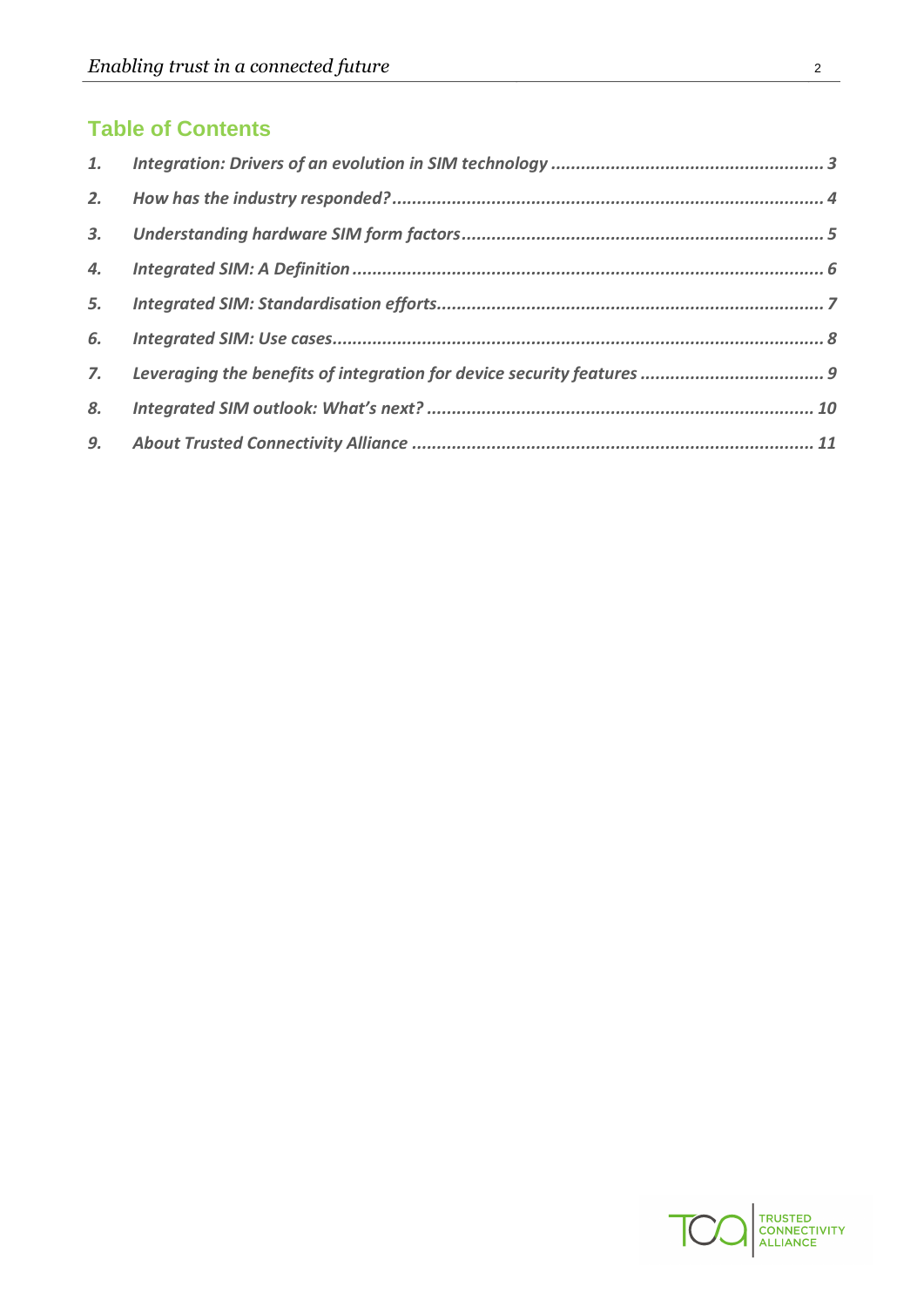# **Table of Contents**

| 6. |  |
|----|--|
|    |  |
| 8. |  |
|    |  |

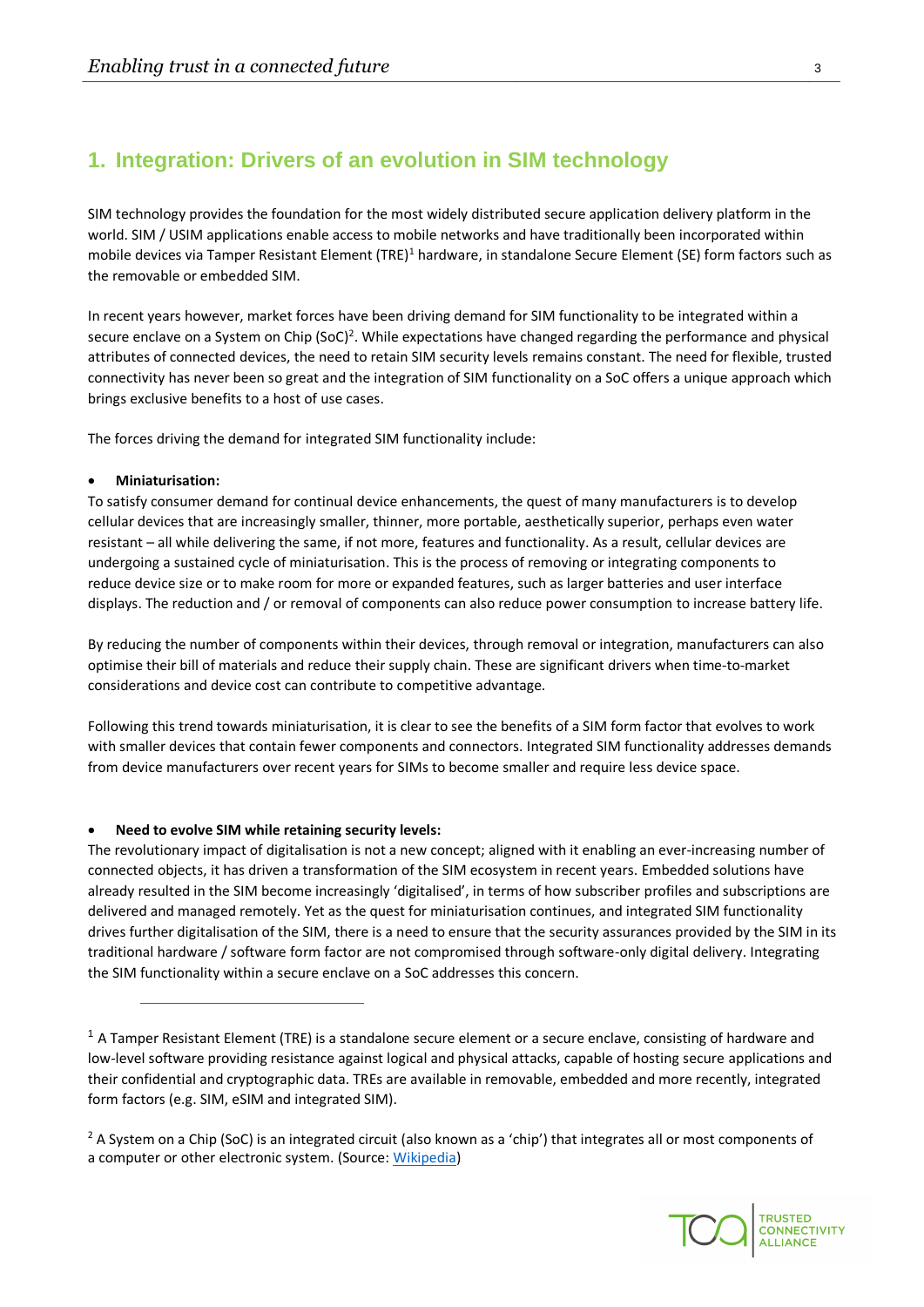## <span id="page-2-0"></span>**1. Integration: Drivers of an evolution in SIM technology**

SIM technology provides the foundation for the most widely distributed secure application delivery platform in the world. SIM / USIM applications enable access to mobile networks and have traditionally been incorporated within mobile devices via Tamper Resistant Element (TRE)<sup>1</sup> hardware, in standalone Secure Element (SE) form factors such as the removable or embedded SIM.

In recent years however, market forces have been driving demand for SIM functionality to be integrated within a secure enclave on a System on Chip (SoC)<sup>2</sup>. While expectations have changed regarding the performance and physical attributes of connected devices, the need to retain SIM security levels remains constant. The need for flexible, trusted connectivity has never been so great and the integration of SIM functionality on a SoC offers a unique approach which brings exclusive benefits to a host of use cases.

The forces driving the demand for integrated SIM functionality include:

#### • **Miniaturisation:**

To satisfy consumer demand for continual device enhancements, the quest of many manufacturers is to develop cellular devices that are increasingly smaller, thinner, more portable, aesthetically superior, perhaps even water resistant – all while delivering the same, if not more, features and functionality. As a result, cellular devices are undergoing a sustained cycle of miniaturisation. This is the process of removing or integrating components to reduce device size or to make room for more or expanded features, such as larger batteries and user interface displays. The reduction and / or removal of components can also reduce power consumption to increase battery life.

By reducing the number of components within their devices, through removal or integration, manufacturers can also optimise their bill of materials and reduce their supply chain. These are significant drivers when time-to-market considerations and device cost can contribute to competitive advantage.

Following this trend towards miniaturisation, it is clear to see the benefits of a SIM form factor that evolves to work with smaller devices that contain fewer components and connectors. Integrated SIM functionality addresses demands from device manufacturers over recent years for SIMs to become smaller and require less device space.

#### • **Need to evolve SIM while retaining security levels:**

The revolutionary impact of digitalisation is not a new concept; aligned with it enabling an ever-increasing number of connected objects, it has driven a transformation of the SIM ecosystem in recent years. Embedded solutions have already resulted in the SIM become increasingly 'digitalised', in terms of how subscriber profiles and subscriptions are delivered and managed remotely. Yet as the quest for miniaturisation continues, and integrated SIM functionality drives further digitalisation of the SIM, there is a need to ensure that the security assurances provided by the SIM in its traditional hardware / software form factor are not compromised through software-only digital delivery. Integrating the SIM functionality within a secure enclave on a SoC addresses this concern.



 $1$  A Tamper Resistant Element (TRE) is a standalone secure element or a secure enclave, consisting of hardware and low-level software providing resistance against logical and physical attacks, capable of hosting secure applications and their confidential and cryptographic data. TREs are available in removable, embedded and more recently, integrated form factors (e.g. SIM, eSIM and integrated SIM).

<sup>&</sup>lt;sup>2</sup> A System on a Chip (SoC) is an integrated circuit (also known as a 'chip') that integrates all or most components of a computer or other electronic system. (Source: [Wikipedia\)](https://en.wikipedia.org/wiki/System_on_a_chip)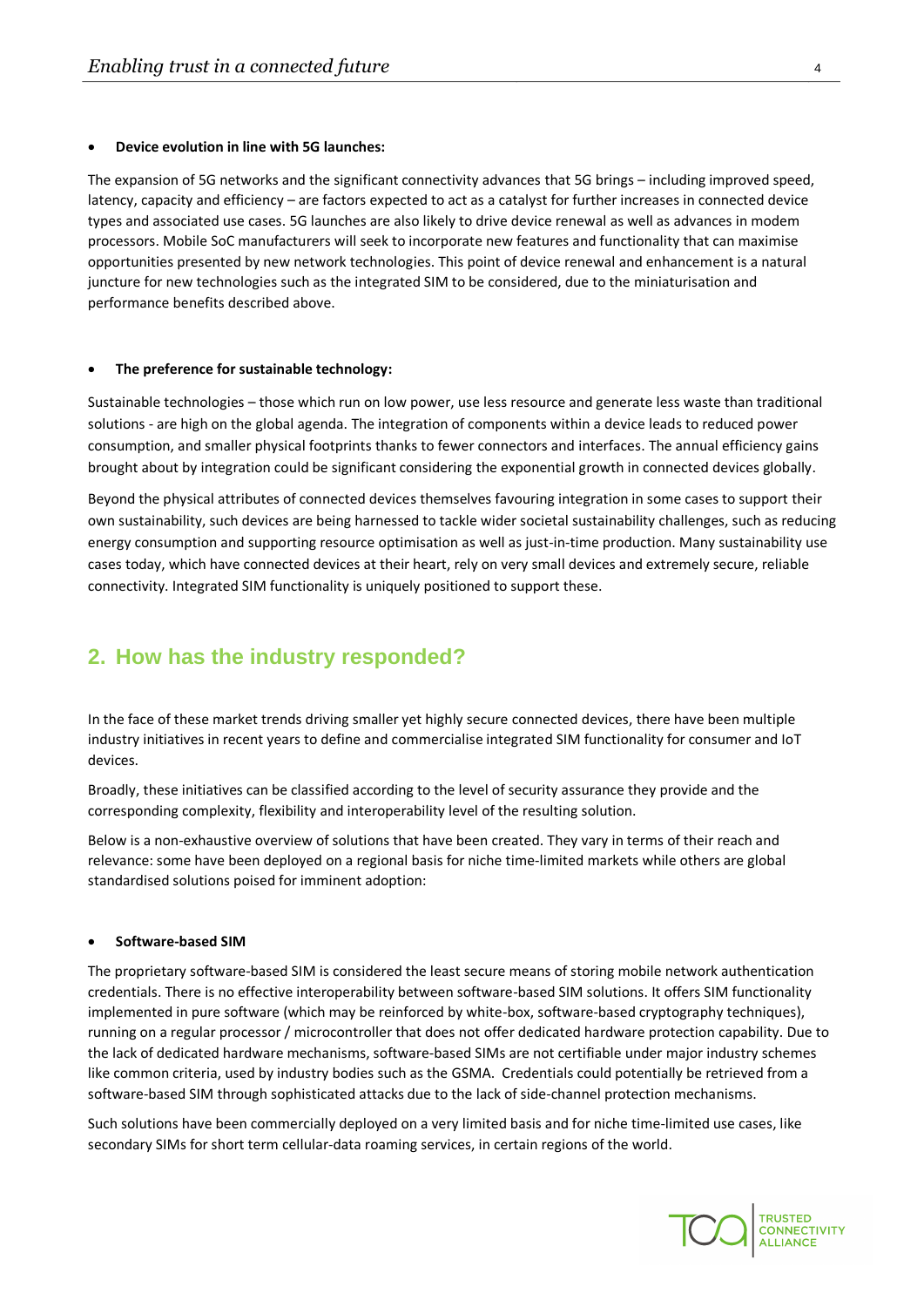#### • **Device evolution in line with 5G launches:**

The expansion of 5G networks and the significant connectivity advances that 5G brings – including improved speed, latency, capacity and efficiency – are factors expected to act as a catalyst for further increases in connected device types and associated use cases. 5G launches are also likely to drive device renewal as well as advances in modem processors. Mobile SoC manufacturers will seek to incorporate new features and functionality that can maximise opportunities presented by new network technologies. This point of device renewal and enhancement is a natural juncture for new technologies such as the integrated SIM to be considered, due to the miniaturisation and performance benefits described above.

#### • **The preference for sustainable technology:**

Sustainable technologies – those which run on low power, use less resource and generate less waste than traditional solutions - are high on the global agenda. The integration of components within a device leads to reduced power consumption, and smaller physical footprints thanks to fewer connectors and interfaces. The annual efficiency gains brought about by integration could be significant considering the exponential growth in connected devices globally.

Beyond the physical attributes of connected devices themselves favouring integration in some cases to support their own sustainability, such devices are being harnessed to tackle wider societal sustainability challenges, such as reducing energy consumption and supporting resource optimisation as well as just-in-time production. Many sustainability use cases today, which have connected devices at their heart, rely on very small devices and extremely secure, reliable connectivity. Integrated SIM functionality is uniquely positioned to support these.

## <span id="page-3-0"></span>**2. How has the industry responded?**

In the face of these market trends driving smaller yet highly secure connected devices, there have been multiple industry initiatives in recent years to define and commercialise integrated SIM functionality for consumer and IoT devices.

Broadly, these initiatives can be classified according to the level of security assurance they provide and the corresponding complexity, flexibility and interoperability level of the resulting solution.

Below is a non-exhaustive overview of solutions that have been created. They vary in terms of their reach and relevance: some have been deployed on a regional basis for niche time-limited markets while others are global standardised solutions poised for imminent adoption:

#### • **Software-based SIM**

The proprietary software-based SIM is considered the least secure means of storing mobile network authentication credentials. There is no effective interoperability between software-based SIM solutions. It offers SIM functionality implemented in pure software (which may be reinforced by white-box, software-based cryptography techniques), running on a regular processor / microcontroller that does not offer dedicated hardware protection capability. Due to the lack of dedicated hardware mechanisms, software-based SIMs are not certifiable under major industry schemes like common criteria, used by industry bodies such as the GSMA. Credentials could potentially be retrieved from a software-based SIM through sophisticated attacks due to the lack of side-channel protection mechanisms.

Such solutions have been commercially deployed on a very limited basis and for niche time-limited use cases, like secondary SIMs for short term cellular-data roaming services, in certain regions of the world.

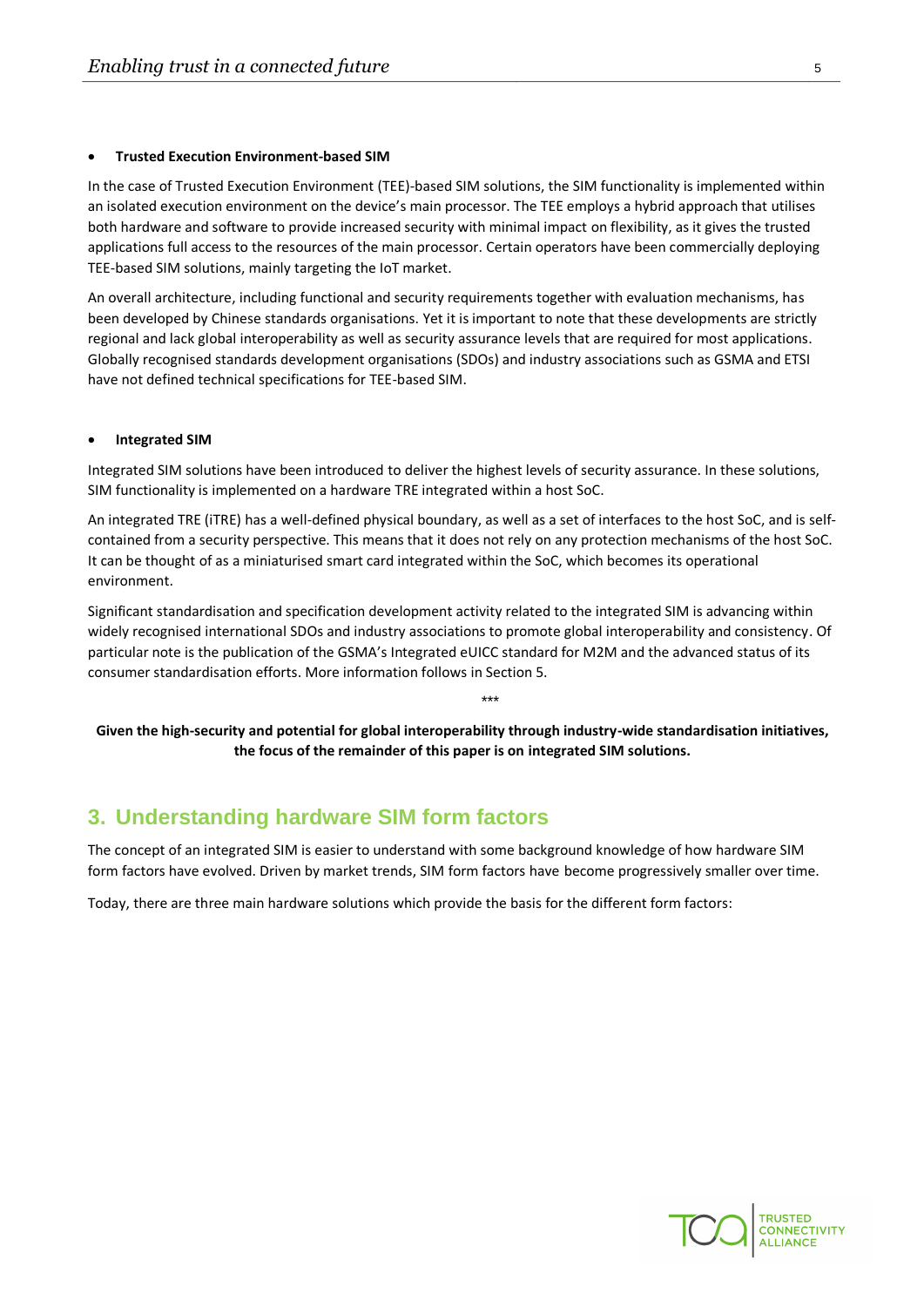#### • **Trusted Execution Environment-based SIM**

In the case of Trusted Execution Environment (TEE)-based SIM solutions, the SIM functionality is implemented within an isolated execution environment on the device's main processor. The TEE employs a hybrid approach that utilises both hardware and software to provide increased security with minimal impact on flexibility, as it gives the trusted applications full access to the resources of the main processor. Certain operators have been commercially deploying TEE-based SIM solutions, mainly targeting the IoT market.

An overall architecture, including functional and security requirements together with evaluation mechanisms, has been developed by Chinese standards organisations. Yet it is important to note that these developments are strictly regional and lack global interoperability as well as security assurance levels that are required for most applications. Globally recognised standards development organisations (SDOs) and industry associations such as GSMA and ETSI have not defined technical specifications for TEE-based SIM.

#### • **Integrated SIM**

Integrated SIM solutions have been introduced to deliver the highest levels of security assurance. In these solutions, SIM functionality is implemented on a hardware TRE integrated within a host SoC.

An integrated TRE (iTRE) has a well-defined physical boundary, as well as a set of interfaces to the host SoC, and is selfcontained from a security perspective. This means that it does not rely on any protection mechanisms of the host SoC. It can be thought of as a miniaturised smart card integrated within the SoC, which becomes its operational environment.

Significant standardisation and specification development activity related to the integrated SIM is advancing within widely recognised international SDOs and industry associations to promote global interoperability and consistency. Of particular note is the publication of the GSMA's Integrated eUICC standard for M2M and the advanced status of its consumer standardisation efforts. More information follows in Section 5.

**Given the high-security and potential for global interoperability through industry-wide standardisation initiatives, the focus of the remainder of this paper is on integrated SIM solutions.**

\*\*\*

# <span id="page-4-0"></span>**3. Understanding hardware SIM form factors**

The concept of an integrated SIM is easier to understand with some background knowledge of how hardware SIM form factors have evolved. Driven by market trends, SIM form factors have become progressively smaller over time.

Today, there are three main hardware solutions which provide the basis for the different form factors:

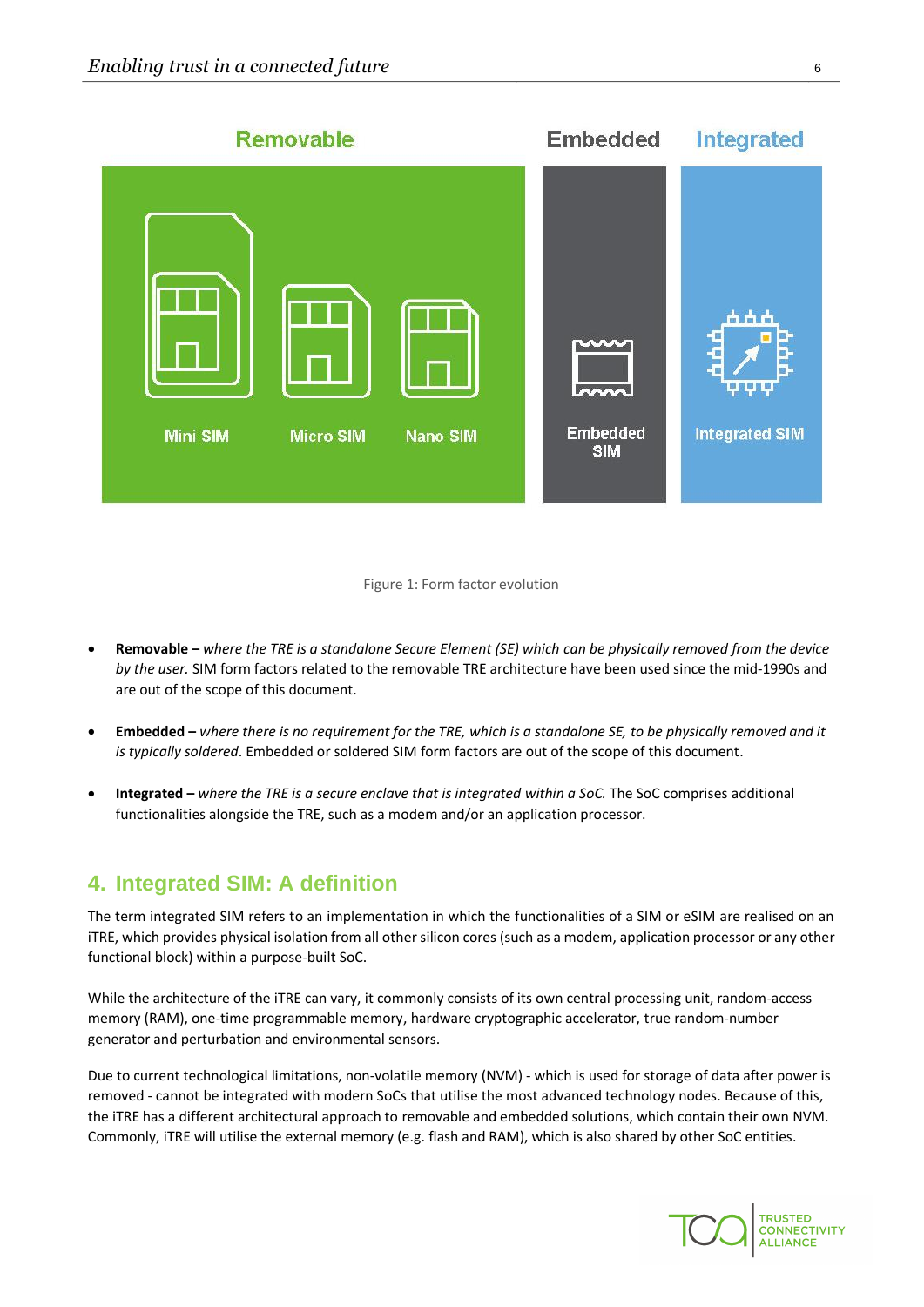

#### Figure 1: Form factor evolution

- **Removable –** *where the TRE is a standalone Secure Element (SE) which can be physically removed from the device by the user.* SIM form factors related to the removable TRE architecture have been used since the mid-1990s and are out of the scope of this document.
- **Embedded –** *where there is no requirement for the TRE, which is a standalone SE, to be physically removed and it is typically soldered*. Embedded or soldered SIM form factors are out of the scope of this document.
- **Integrated –** *where the TRE is a secure enclave that is integrated within a SoC.* The SoC comprises additional functionalities alongside the TRE, such as a modem and/or an application processor.

# <span id="page-5-0"></span>**4. Integrated SIM: A definition**

The term integrated SIM refers to an implementation in which the functionalities of a SIM or eSIM are realised on an iTRE, which provides physical isolation from all other silicon cores (such as a modem, application processor or any other functional block) within a purpose-built SoC.

While the architecture of the iTRE can vary, it commonly consists of its own central processing unit, random-access memory (RAM), one-time programmable memory, hardware cryptographic accelerator, true random-number generator and perturbation and environmental sensors.

Due to current technological limitations, non-volatile memory (NVM) - which is used for storage of data after power is removed - cannot be integrated with modern SoCs that utilise the most advanced technology nodes. Because of this, the iTRE has a different architectural approach to removable and embedded solutions, which contain their own NVM. Commonly, iTRE will utilise the external memory (e.g. flash and RAM), which is also shared by other SoC entities.

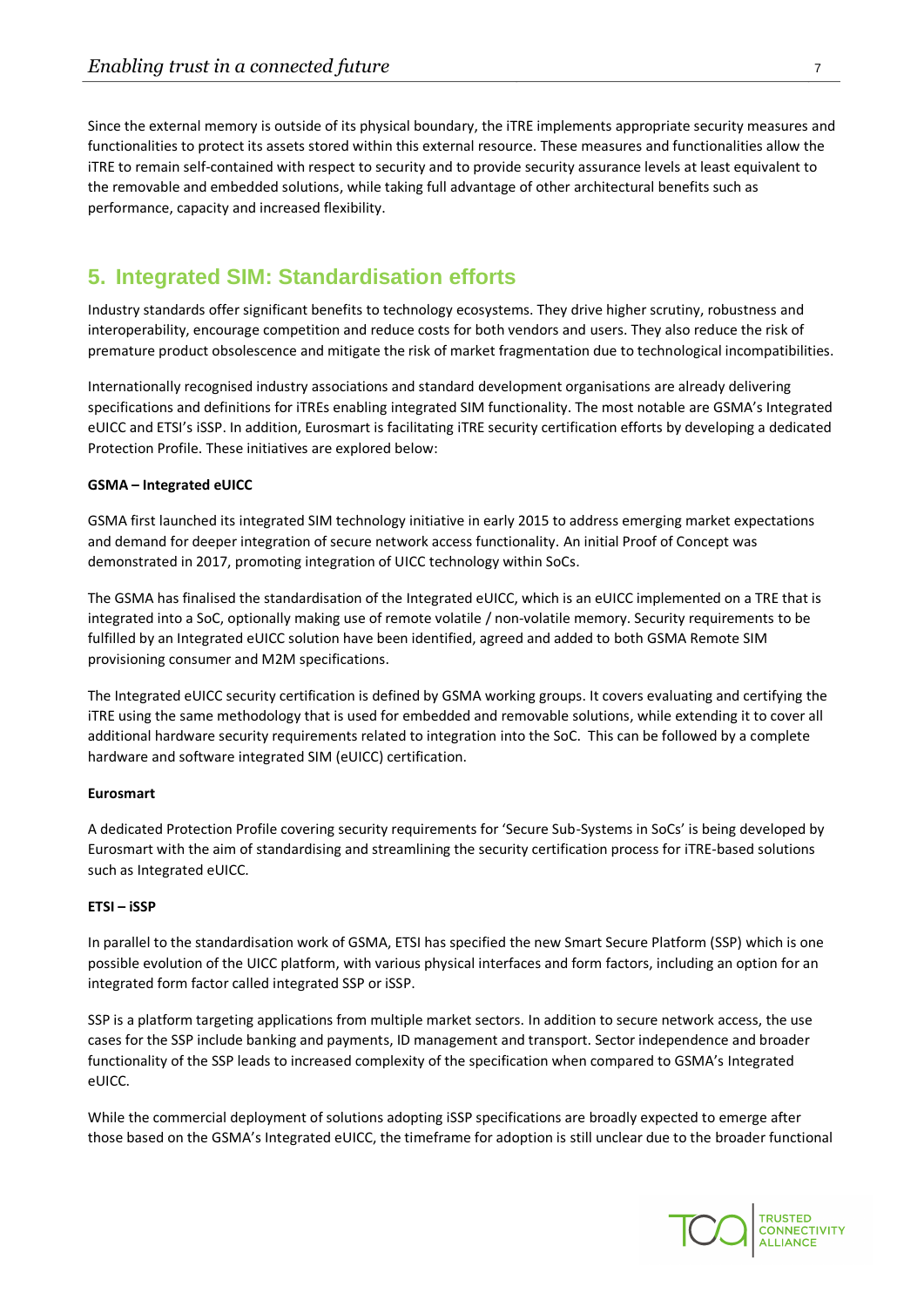Since the external memory is outside of its physical boundary, the iTRE implements appropriate security measures and functionalities to protect its assets stored within this external resource. These measures and functionalities allow the iTRE to remain self-contained with respect to security and to provide security assurance levels at least equivalent to the removable and embedded solutions, while taking full advantage of other architectural benefits such as performance, capacity and increased flexibility.

# <span id="page-6-0"></span>**5. Integrated SIM: Standardisation efforts**

Industry standards offer significant benefits to technology ecosystems. They drive higher scrutiny, robustness and interoperability, encourage competition and reduce costs for both vendors and users. They also reduce the risk of premature product obsolescence and mitigate the risk of market fragmentation due to technological incompatibilities.

Internationally recognised industry associations and standard development organisations are already delivering specifications and definitions for iTREs enabling integrated SIM functionality. The most notable are GSMA's Integrated eUICC and ETSI's iSSP. In addition, Eurosmart is facilitating iTRE security certification efforts by developing a dedicated Protection Profile. These initiatives are explored below:

#### **GSMA – Integrated eUICC**

GSMA first launched its integrated SIM technology initiative in early 2015 to address emerging market expectations and demand for deeper integration of secure network access functionality. An initial Proof of Concept was demonstrated in 2017, promoting integration of UICC technology within SoCs.

The GSMA has finalised the standardisation of the Integrated eUICC, which is an eUICC implemented on a TRE that is integrated into a SoC, optionally making use of remote volatile / non-volatile memory. Security requirements to be fulfilled by an Integrated eUICC solution have been identified, agreed and added to both GSMA Remote SIM provisioning consumer and M2M specifications.

The Integrated eUICC security certification is defined by GSMA working groups. It covers evaluating and certifying the iTRE using the same methodology that is used for embedded and removable solutions, while extending it to cover all additional hardware security requirements related to integration into the SoC. This can be followed by a complete hardware and software integrated SIM (eUICC) certification.

#### **Eurosmart**

A dedicated Protection Profile covering security requirements for 'Secure Sub-Systems in SoCs' is being developed by Eurosmart with the aim of standardising and streamlining the security certification process for iTRE-based solutions such as Integrated eUICC.

#### **ETSI – iSSP**

In parallel to the standardisation work of GSMA, ETSI has specified the new Smart Secure Platform (SSP) which is one possible evolution of the UICC platform, with various physical interfaces and form factors, including an option for an integrated form factor called integrated SSP or iSSP.

SSP is a platform targeting applications from multiple market sectors. In addition to secure network access, the use cases for the SSP include banking and payments, ID management and transport. Sector independence and broader functionality of the SSP leads to increased complexity of the specification when compared to GSMA's Integrated eUICC.

While the commercial deployment of solutions adopting iSSP specifications are broadly expected to emerge after those based on the GSMA's Integrated eUICC, the timeframe for adoption is still unclear due to the broader functional

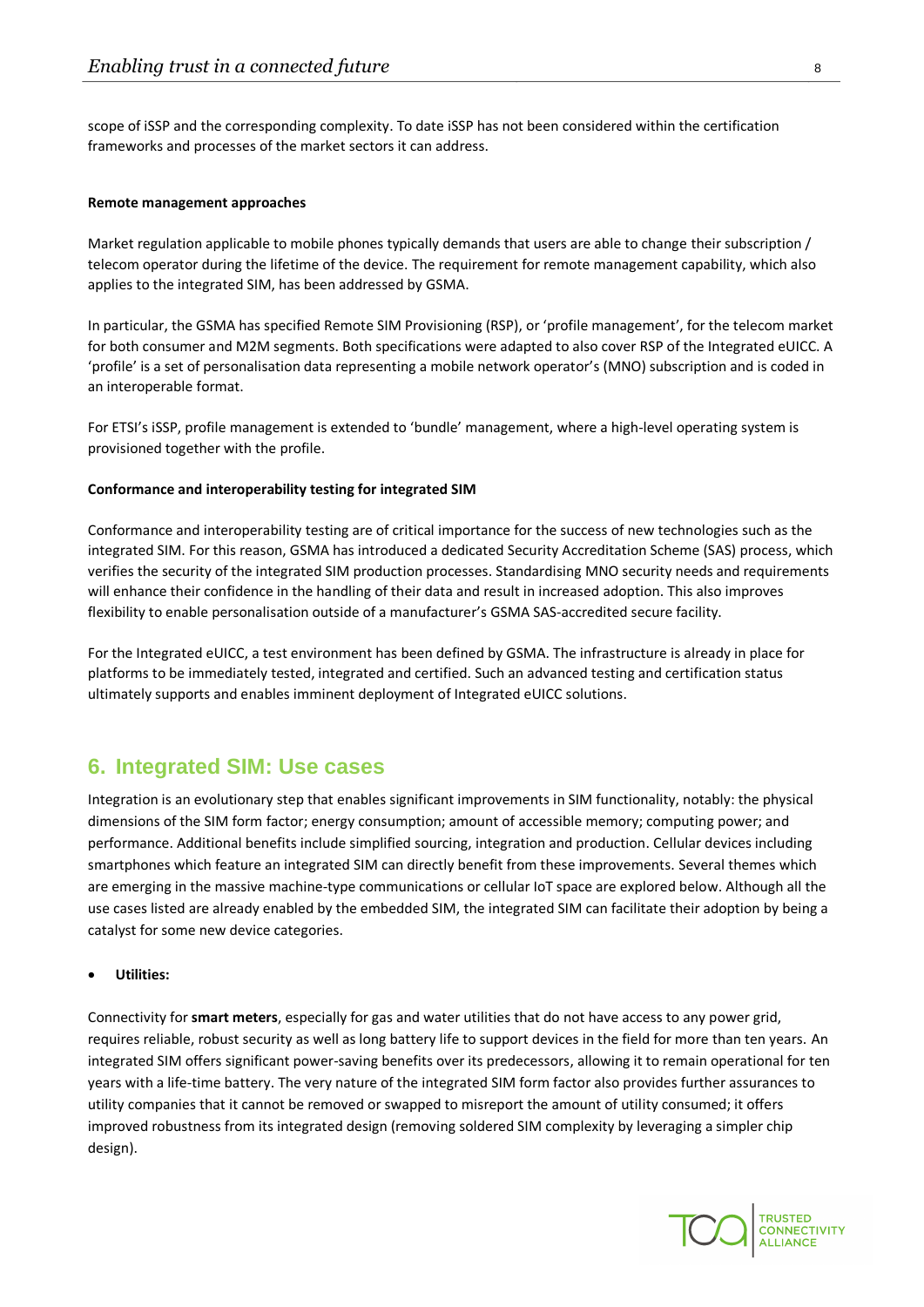scope of iSSP and the corresponding complexity. To date iSSP has not been considered within the certification frameworks and processes of the market sectors it can address.

#### **Remote management approaches**

Market regulation applicable to mobile phones typically demands that users are able to change their subscription / telecom operator during the lifetime of the device. The requirement for remote management capability, which also applies to the integrated SIM, has been addressed by GSMA.

In particular, the GSMA has specified Remote SIM Provisioning (RSP), or 'profile management', for the telecom market for both consumer and M2M segments. Both specifications were adapted to also cover RSP of the Integrated eUICC. A 'profile' is a set of personalisation data representing a mobile network operator's (MNO) subscription and is coded in an interoperable format.

For ETSI's iSSP, profile management is extended to 'bundle' management, where a high-level operating system is provisioned together with the profile.

#### **Conformance and interoperability testing for integrated SIM**

Conformance and interoperability testing are of critical importance for the success of new technologies such as the integrated SIM. For this reason, GSMA has introduced a dedicated Security Accreditation Scheme (SAS) process, which verifies the security of the integrated SIM production processes. Standardising MNO security needs and requirements will enhance their confidence in the handling of their data and result in increased adoption. This also improves flexibility to enable personalisation outside of a manufacturer's GSMA SAS-accredited secure facility.

For the Integrated eUICC, a test environment has been defined by GSMA. The infrastructure is already in place for platforms to be immediately tested, integrated and certified. Such an advanced testing and certification status ultimately supports and enables imminent deployment of Integrated eUICC solutions.

### <span id="page-7-0"></span>**6. Integrated SIM: Use cases**

Integration is an evolutionary step that enables significant improvements in SIM functionality, notably: the physical dimensions of the SIM form factor; energy consumption; amount of accessible memory; computing power; and performance. Additional benefits include simplified sourcing, integration and production. Cellular devices including smartphones which feature an integrated SIM can directly benefit from these improvements. Several themes which are emerging in the massive machine-type communications or cellular IoT space are explored below. Although all the use cases listed are already enabled by the embedded SIM, the integrated SIM can facilitate their adoption by being a catalyst for some new device categories.

• **Utilities:**

Connectivity for **smart meters**, especially for gas and water utilities that do not have access to any power grid, requires reliable, robust security as well as long battery life to support devices in the field for more than ten years. An integrated SIM offers significant power-saving benefits over its predecessors, allowing it to remain operational for ten years with a life-time battery. The very nature of the integrated SIM form factor also provides further assurances to utility companies that it cannot be removed or swapped to misreport the amount of utility consumed; it offers improved robustness from its integrated design (removing soldered SIM complexity by leveraging a simpler chip design).

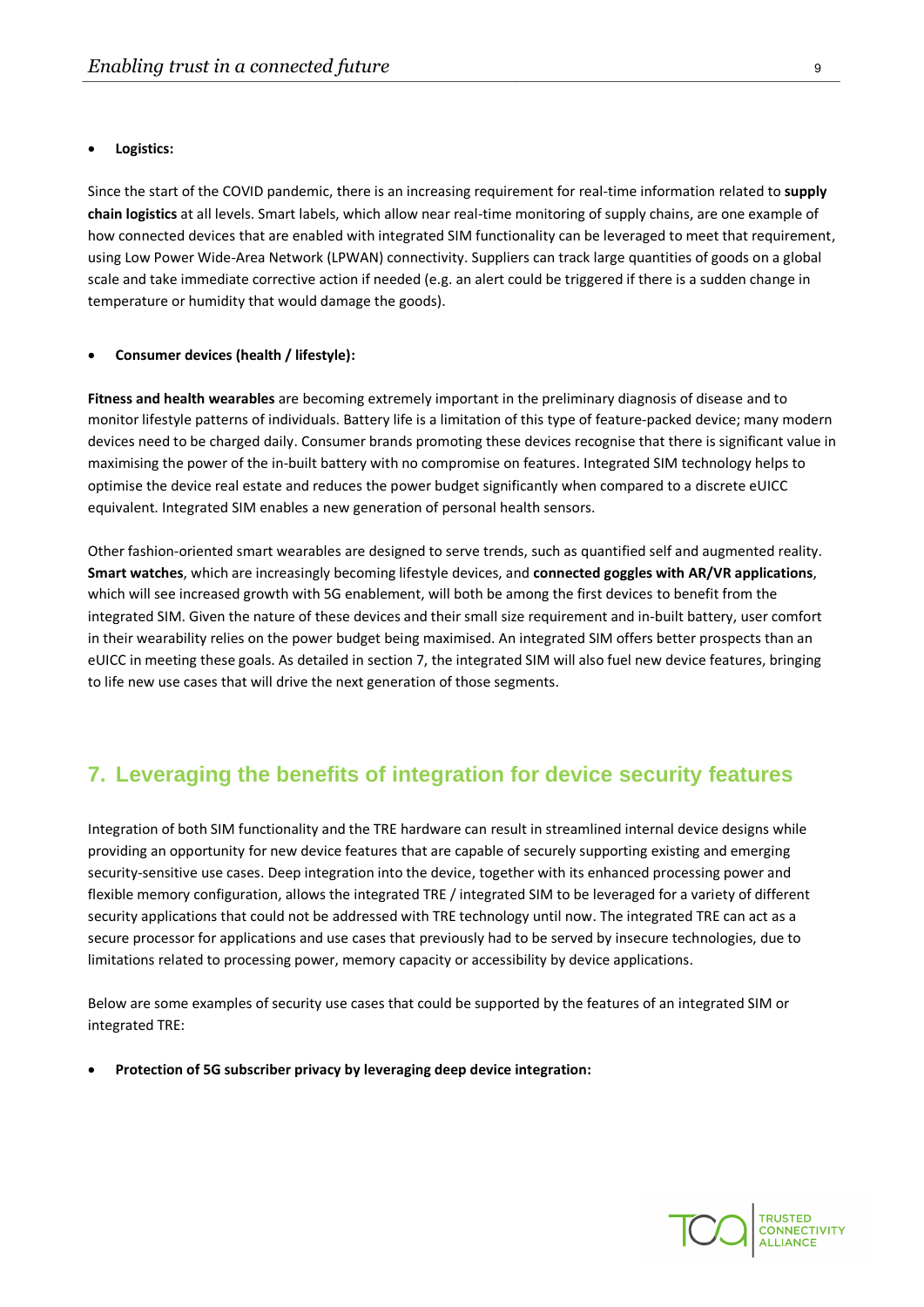#### • **Logistics:**

Since the start of the COVID pandemic, there is an increasing requirement for real-time information related to **supply chain logistics** at all levels. Smart labels, which allow near real-time monitoring of supply chains, are one example of how connected devices that are enabled with integrated SIM functionality can be leveraged to meet that requirement, using Low Power Wide-Area Network (LPWAN) connectivity. Suppliers can track large quantities of goods on a global scale and take immediate corrective action if needed (e.g. an alert could be triggered if there is a sudden change in temperature or humidity that would damage the goods).

#### • **Consumer devices (health / lifestyle):**

**Fitness and health wearables** are becoming extremely important in the preliminary diagnosis of disease and to monitor lifestyle patterns of individuals. Battery life is a limitation of this type of feature-packed device; many modern devices need to be charged daily. Consumer brands promoting these devices recognise that there is significant value in maximising the power of the in-built battery with no compromise on features. Integrated SIM technology helps to optimise the device real estate and reduces the power budget significantly when compared to a discrete eUICC equivalent. Integrated SIM enables a new generation of personal health sensors.

Other fashion-oriented smart wearables are designed to serve trends, such as quantified self and augmented reality. **Smart watches**, which are increasingly becoming lifestyle devices, and **connected goggles with AR/VR applications**, which will see increased growth with 5G enablement, will both be among the first devices to benefit from the integrated SIM. Given the nature of these devices and their small size requirement and in-built battery, user comfort in their wearability relies on the power budget being maximised. An integrated SIM offers better prospects than an eUICC in meeting these goals. As detailed in section 7, the integrated SIM will also fuel new device features, bringing to life new use cases that will drive the next generation of those segments.

## <span id="page-8-0"></span>**7. Leveraging the benefits of integration for device security features**

Integration of both SIM functionality and the TRE hardware can result in streamlined internal device designs while providing an opportunity for new device features that are capable of securely supporting existing and emerging security-sensitive use cases. Deep integration into the device, together with its enhanced processing power and flexible memory configuration, allows the integrated TRE / integrated SIM to be leveraged for a variety of different security applications that could not be addressed with TRE technology until now. The integrated TRE can act as a secure processor for applications and use cases that previously had to be served by insecure technologies, due to limitations related to processing power, memory capacity or accessibility by device applications.

Below are some examples of security use cases that could be supported by the features of an integrated SIM or integrated TRE:

• **Protection of 5G subscriber privacy by leveraging deep device integration:**

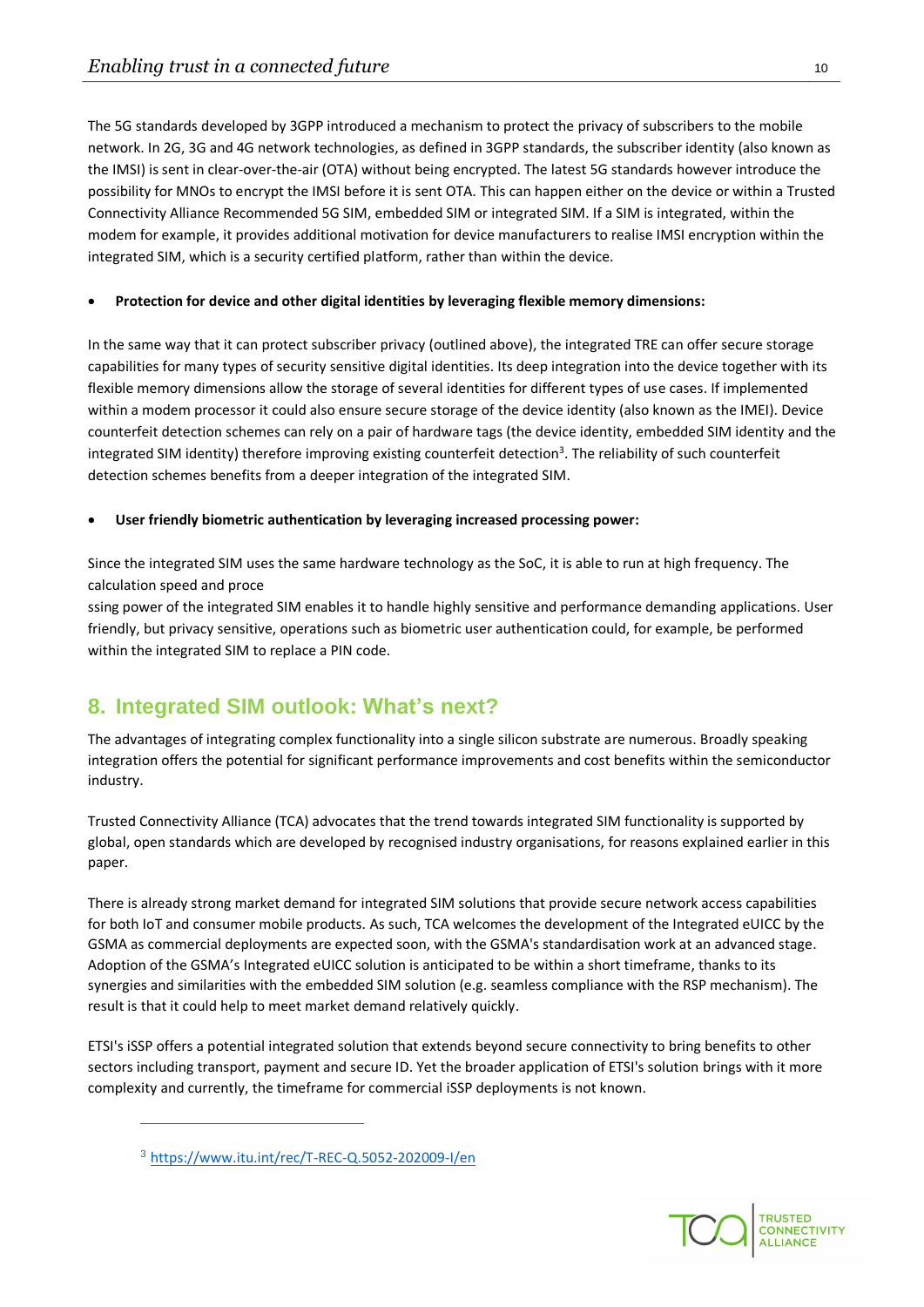The 5G standards developed by 3GPP introduced a mechanism to protect the privacy of subscribers to the mobile network. In 2G, 3G and 4G network technologies, as defined in 3GPP standards, the subscriber identity (also known as the IMSI) is sent in clear-over-the-air (OTA) without being encrypted. The latest 5G standards however introduce the possibility for MNOs to encrypt the IMSI before it is sent OTA. This can happen either on the device or within a Trusted Connectivity Alliance Recommended 5G SIM, embedded SIM or integrated SIM. If a SIM is integrated, within the modem for example, it provides additional motivation for device manufacturers to realise IMSI encryption within the integrated SIM, which is a security certified platform, rather than within the device.

#### • **Protection for device and other digital identities by leveraging flexible memory dimensions:**

In the same way that it can protect subscriber privacy (outlined above), the integrated TRE can offer secure storage capabilities for many types of security sensitive digital identities. Its deep integration into the device together with its flexible memory dimensions allow the storage of several identities for different types of use cases. If implemented within a modem processor it could also ensure secure storage of the device identity (also known as the IMEI). Device counterfeit detection schemes can rely on a pair of hardware tags (the device identity, embedded SIM identity and the integrated SIM identity) therefore improving existing counterfeit detection<sup>3</sup>. The reliability of such counterfeit detection schemes benefits from a deeper integration of the integrated SIM.

#### • **User friendly biometric authentication by leveraging increased processing power:**

Since the integrated SIM uses the same hardware technology as the SoC, it is able to run at high frequency. The calculation speed and proce

ssing power of the integrated SIM enables it to handle highly sensitive and performance demanding applications. User friendly, but privacy sensitive, operations such as biometric user authentication could, for example, be performed within the integrated SIM to replace a PIN code.

# <span id="page-9-0"></span>**8. Integrated SIM outlook: What's next?**

The advantages of integrating complex functionality into a single silicon substrate are numerous. Broadly speaking integration offers the potential for significant performance improvements and cost benefits within the semiconductor industry.

Trusted Connectivity Alliance (TCA) advocates that the trend towards integrated SIM functionality is supported by global, open standards which are developed by recognised industry organisations, for reasons explained earlier in this paper.

There is already strong market demand for integrated SIM solutions that provide secure network access capabilities for both IoT and consumer mobile products. As such, TCA welcomes the development of the Integrated eUICC by the GSMA as commercial deployments are expected soon, with the GSMA's standardisation work at an advanced stage. Adoption of the GSMA's Integrated eUICC solution is anticipated to be within a short timeframe, thanks to its synergies and similarities with the embedded SIM solution (e.g. seamless compliance with the RSP mechanism). The result is that it could help to meet market demand relatively quickly.

ETSI's iSSP offers a potential integrated solution that extends beyond secure connectivity to bring benefits to other sectors including transport, payment and secure ID. Yet the broader application of ETSI's solution brings with it more complexity and currently, the timeframe for commercial iSSP deployments is not known.



<sup>3</sup> <https://www.itu.int/rec/T-REC-Q.5052-202009-I/en>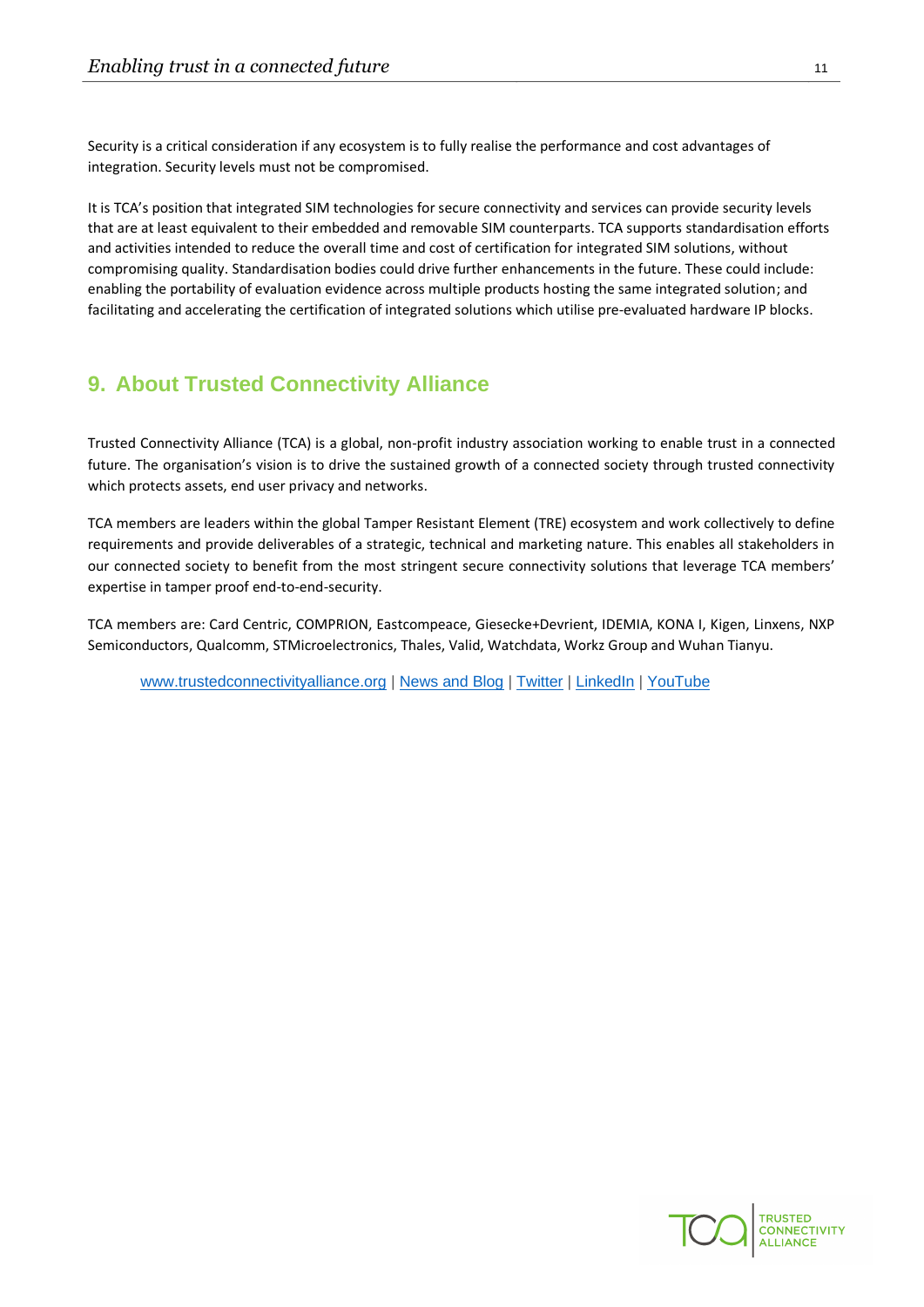Security is a critical consideration if any ecosystem is to fully realise the performance and cost advantages of integration. Security levels must not be compromised.

It is TCA's position that integrated SIM technologies for secure connectivity and services can provide security levels that are at least equivalent to their embedded and removable SIM counterparts. TCA supports standardisation efforts and activities intended to reduce the overall time and cost of certification for integrated SIM solutions, without compromising quality. Standardisation bodies could drive further enhancements in the future. These could include: enabling the portability of evaluation evidence across multiple products hosting the same integrated solution; and facilitating and accelerating the certification of integrated solutions which utilise pre-evaluated hardware IP blocks.

## <span id="page-10-0"></span>**9. About Trusted Connectivity Alliance**

Trusted Connectivity Alliance (TCA) is a global, non-profit industry association working to enable trust in a connected future. The organisation's vision is to drive the sustained growth of a connected society through trusted connectivity which protects assets, end user privacy and networks.

TCA members are leaders within the global Tamper Resistant Element (TRE) ecosystem and work collectively to define requirements and provide deliverables of a strategic, technical and marketing nature. This enables all stakeholders in our connected society to benefit from the most stringent secure connectivity solutions that leverage TCA members' expertise in tamper proof end-to-end-security.

TCA members are: Card Centric, COMPRION, Eastcompeace, Giesecke+Devrient, IDEMIA, KONA I, Kigen, Linxens, NXP Semiconductors, Qualcomm, STMicroelectronics, Thales, Valid, Watchdata, Workz Group and Wuhan Tianyu.

[www.trustedconnectivityalliance.org](http://www.trustedconnectivityalliance.org/) | [News and Blog](https://trustedconnectivityalliance.org/news/?utm_source=iseepr&utm_medium=PR&utm_campaign=Organisational) [| Twitter](https://twitter.com/_TCAlliance) | [LinkedIn](https://www.linkedin.com/company/trustedconnectivityalliance) | [YouTube](https://www.youtube.com/channel/UCe6IvtKRG5sTEPVLc7GZ4Rw)